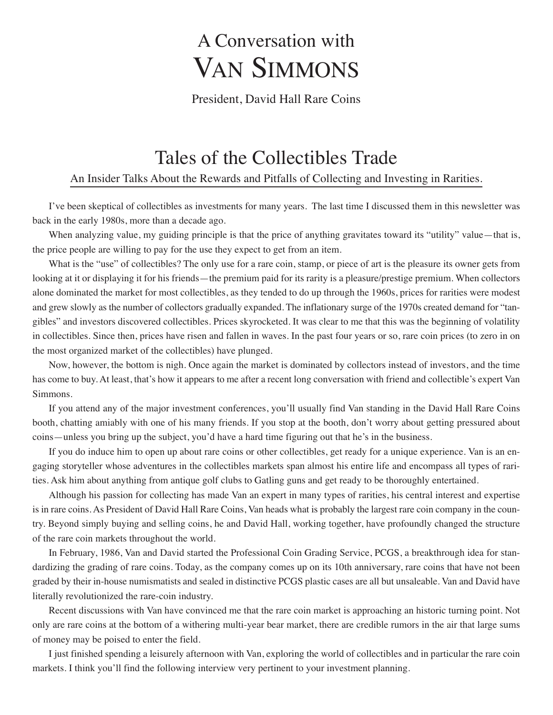# A Conversation with VAN SIMMONS

President, David Hall Rare Coins

## Tales of the Collectibles Trade

## An Insider Talks About the Rewards and Pitfalls of Collecting and Investing in Rarities.

I've been skeptical of collectibles as investments for many years. The last time I discussed them in this newsletter was back in the early 1980s, more than a decade ago.

When analyzing value, my guiding principle is that the price of anything gravitates toward its "utility" value—that is, the price people are willing to pay for the use they expect to get from an item.

What is the "use" of collectibles? The only use for a rare coin, stamp, or piece of art is the pleasure its owner gets from looking at it or displaying it for his friends—the premium paid for its rarity is a pleasure/prestige premium. When collectors alone dominated the market for most collectibles, as they tended to do up through the 1960s, prices for rarities were modest and grew slowly as the number of collectors gradually expanded. The inflationary surge of the 1970s created demand for "tangibles" and investors discovered collectibles. Prices skyrocketed. It was clear to me that this was the beginning of volatility in collectibles. Since then, prices have risen and fallen in waves. In the past four years or so, rare coin prices (to zero in on the most organized market of the collectibles) have plunged.

Now, however, the bottom is nigh. Once again the market is dominated by collectors instead of investors, and the time has come to buy. At least, that's how it appears to me after a recent long conversation with friend and collectible's expert Van Simmons.

If you attend any of the major investment conferences, you'll usually find Van standing in the David Hall Rare Coins booth, chatting amiably with one of his many friends. If you stop at the booth, don't worry about getting pressured about coins—unless you bring up the subject, you'd have a hard time figuring out that he's in the business.

If you do induce him to open up about rare coins or other collectibles, get ready for a unique experience. Van is an engaging storyteller whose adventures in the collectibles markets span almost his entire life and encompass all types of rarities. Ask him about anything from antique golf clubs to Gatling guns and get ready to be thoroughly entertained.

Although his passion for collecting has made Van an expert in many types of rarities, his central interest and expertise is in rare coins. As President of David Hall Rare Coins, Van heads what is probably the largest rare coin company in the country. Beyond simply buying and selling coins, he and David Hall, working together, have profoundly changed the structure of the rare coin markets throughout the world.

In February, 1986, Van and David started the Professional Coin Grading Service, PCGS, a breakthrough idea for standardizing the grading of rare coins. Today, as the company comes up on its 10th anniversary, rare coins that have not been graded by their in-house numismatists and sealed in distinctive PCGS plastic cases are all but unsaleable. Van and David have literally revolutionized the rare-coin industry.

Recent discussions with Van have convinced me that the rare coin market is approaching an historic turning point. Not only are rare coins at the bottom of a withering multi-year bear market, there are credible rumors in the air that large sums of money may be poised to enter the field.

I just finished spending a leisurely afternoon with Van, exploring the world of collectibles and in particular the rare coin markets. I think you'll find the following interview very pertinent to your investment planning.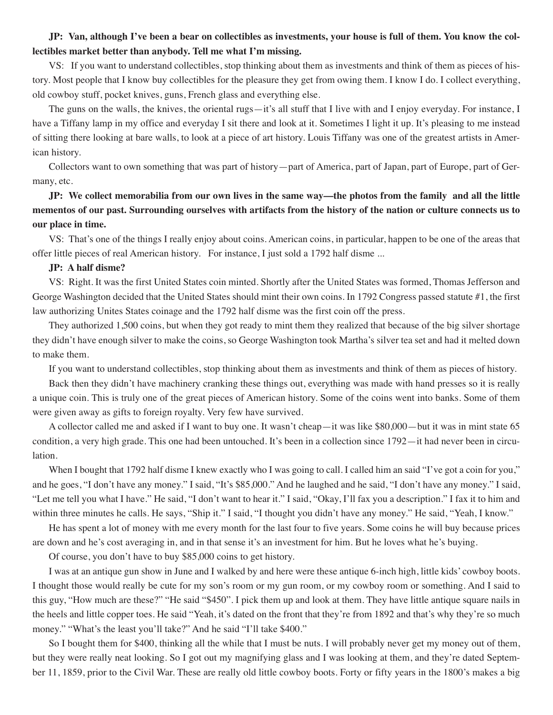## JP: Van, although I've been a bear on collectibles as investments, your house is full of them. You know the col**lectibles market better than anybody. Tell me what I'm missing.**

VS: If you want to understand collectibles, stop thinking about them as investments and think of them as pieces of history. Most people that I know buy collectibles for the pleasure they get from owing them. I know I do. I collect everything, old cowboy stuff, pocket knives, guns, French glass and everything else.

The guns on the walls, the knives, the oriental rugs—it's all stuff that I live with and I enjoy everyday. For instance, I have a Tiffany lamp in my office and everyday I sit there and look at it. Sometimes I light it up. It's pleasing to me instead of sitting there looking at bare walls, to look at a piece of art history. Louis Tiffany was one of the greatest artists in American history.

Collectors want to own something that was part of history—part of America, part of Japan, part of Europe, part of Germany, etc.

## JP: We collect memorabilia from our own lives in the same way—the photos from the family and all the little mementos of our past. Surrounding ourselves with artifacts from the history of the nation or culture connects us to **our place in time.**

VS: That's one of the things I really enjoy about coins. American coins, in particular, happen to be one of the areas that offer little pieces of real American history. For instance, I just sold a 1792 half disme ...

#### **JP: A half disme?**

VS: Right. It was the first United States coin minted. Shortly after the United States was formed, Thomas Jefferson and George Washington decided that the United States should mint their own coins. In 1792 Congress passed statute #1, the first law authorizing Unites States coinage and the 1792 half disme was the first coin off the press.

They authorized 1,500 coins, but when they got ready to mint them they realized that because of the big silver shortage they didn't have enough silver to make the coins, so George Washington took Martha's silver tea set and had it melted down to make them.

If you want to understand collectibles, stop thinking about them as investments and think of them as pieces of history.

Back then they didn't have machinery cranking these things out, everything was made with hand presses so it is really a unique coin. This is truly one of the great pieces of American history. Some of the coins went into banks. Some of them were given away as gifts to foreign royalty. Very few have survived.

A collector called me and asked if I want to buy one. It wasn't cheap—it was like \$80,000—but it was in mint state 65 condition, a very high grade. This one had been untouched. It's been in a collection since 1792—it had never been in circulation.

When I bought that 1792 half disme I knew exactly who I was going to call. I called him an said "I've got a coin for you," and he goes, "I don't have any money." I said, "It's \$85,000." And he laughed and he said, "I don't have any money." I said, "Let me tell you what I have." He said, "I don't want to hear it." I said, "Okay, I'll fax you a description." I fax it to him and within three minutes he calls. He says, "Ship it." I said, "I thought you didn't have any money." He said, "Yeah, I know."

He has spent a lot of money with me every month for the last four to five years. Some coins he will buy because prices are down and he's cost averaging in, and in that sense it's an investment for him. But he loves what he's buying.

Of course, you don't have to buy \$85,000 coins to get history.

I was at an antique gun show in June and I walked by and here were these antique 6-inch high, little kids' cowboy boots. I thought those would really be cute for my son's room or my gun room, or my cowboy room or something. And I said to this guy, "How much are these?" "He said "\$450". I pick them up and look at them. They have little antique square nails in the heels and little copper toes. He said "Yeah, it's dated on the front that they're from 1892 and that's why they're so much money." "What's the least you'll take?" And he said "I'll take \$400."

So I bought them for \$400, thinking all the while that I must be nuts. I will probably never get my money out of them, but they were really neat looking. So I got out my magnifying glass and I was looking at them, and they're dated September 11, 1859, prior to the Civil War. These are really old little cowboy boots. Forty or fifty years in the 1800's makes a big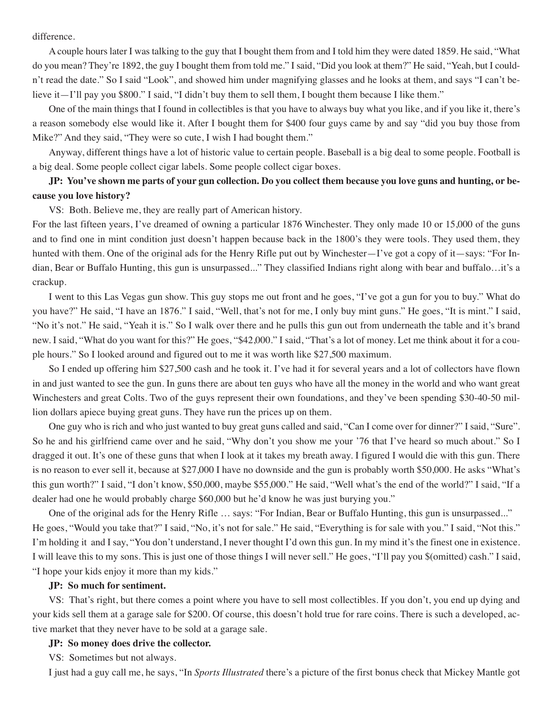difference.

A couple hours later I was talking to the guy that I bought them from and I told him they were dated 1859. He said, "What do you mean? They're 1892, the guy I bought them from told me." I said, "Did you look at them?" He said, "Yeah, but I couldn't read the date." So I said "Look", and showed him under magnifying glasses and he looks at them, and says "I can't believe it—I'll pay you \$800." I said, "I didn't buy them to sell them, I bought them because I like them."

One of the main things that I found in collectibles is that you have to always buy what you like, and if you like it, there's a reason somebody else would like it. After I bought them for \$400 four guys came by and say "did you buy those from Mike?" And they said, "They were so cute, I wish I had bought them."

Anyway, different things have a lot of historic value to certain people. Baseball is a big deal to some people. Football is a big deal. Some people collect cigar labels. Some people collect cigar boxes.

## JP: You've shown me parts of your gun collection. Do you collect them because you love guns and hunting, or be**cause you love history?**

VS: Both. Believe me, they are really part of American history.

For the last fifteen years, I've dreamed of owning a particular 1876 Winchester. They only made 10 or 15,000 of the guns and to find one in mint condition just doesn't happen because back in the 1800's they were tools. They used them, they hunted with them. One of the original ads for the Henry Rifle put out by Winchester—I've got a copy of it—says: "For Indian, Bear or Buffalo Hunting, this gun is unsurpassed..." They classified Indians right along with bear and buffalo…it's a crackup.

I went to this Las Vegas gun show. This guy stops me out front and he goes, "I've got a gun for you to buy." What do you have?" He said, "I have an 1876." I said, "Well, that's not for me, I only buy mint guns." He goes, "It is mint." I said, "No it's not." He said, "Yeah it is." So I walk over there and he pulls this gun out from underneath the table and it's brand new. I said, "What do you want for this?" He goes, "\$42,000." I said, "That's a lot of money. Let me think about it for a couple hours." So I looked around and figured out to me it was worth like \$27,500 maximum.

So I ended up offering him \$27,500 cash and he took it. I've had it for several years and a lot of collectors have flown in and just wanted to see the gun. In guns there are about ten guys who have all the money in the world and who want great Winchesters and great Colts. Two of the guys represent their own foundations, and they've been spending \$30-40-50 million dollars apiece buying great guns. They have run the prices up on them.

One guy who is rich and who just wanted to buy great guns called and said, "Can I come over for dinner?" I said, "Sure". So he and his girlfriend came over and he said, "Why don't you show me your '76 that I've heard so much about." So I dragged it out. It's one of these guns that when I look at it takes my breath away. I figured I would die with this gun. There is no reason to ever sell it, because at \$27,000 I have no downside and the gun is probably worth \$50,000. He asks "What's this gun worth?" I said, "I don't know, \$50,000, maybe \$55,000." He said, "Well what's the end of the world?" I said, "If a dealer had one he would probably charge \$60,000 but he'd know he was just burying you."

One of the original ads for the Henry Rifle … says: "For Indian, Bear or Buffalo Hunting, this gun is unsurpassed..." He goes, "Would you take that?" I said, "No, it's not for sale." He said, "Everything is for sale with you." I said, "Not this." I'm holding it and I say, "You don't understand, I never thought I'd own this gun. In my mind it's the finest one in existence. I will leave this to my sons. This is just one of those things I will never sell." He goes, "I'll pay you \$(omitted) cash." I said, "I hope your kids enjoy it more than my kids."

#### **JP: So much for sentiment.**

VS: That's right, but there comes a point where you have to sell most collectibles. If you don't, you end up dying and your kids sell them at a garage sale for \$200. Of course, this doesn't hold true for rare coins. There is such a developed, active market that they never have to be sold at a garage sale.

#### **JP: So money does drive the collector.**

VS: Sometimes but not always.

I just had a guy call me, he says, "In *Sports Illustrated* there's a picture of the first bonus check that Mickey Mantle got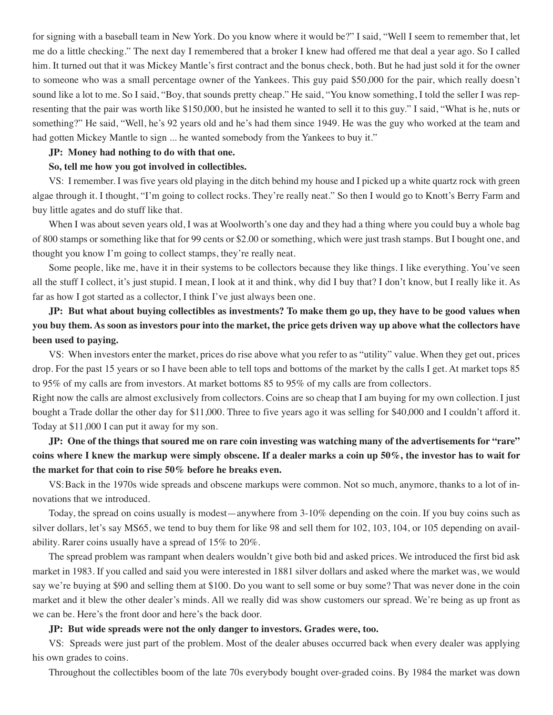for signing with a baseball team in New York. Do you know where it would be?" I said, "Well I seem to remember that, let me do a little checking." The next day I remembered that a broker I knew had offered me that deal a year ago. So I called him. It turned out that it was Mickey Mantle's first contract and the bonus check, both. But he had just sold it for the owner to someone who was a small percentage owner of the Yankees. This guy paid \$50,000 for the pair, which really doesn't sound like a lot to me. So I said, "Boy, that sounds pretty cheap." He said, "You know something, I told the seller I was representing that the pair was worth like \$150,000, but he insisted he wanted to sell it to this guy." I said, "What is he, nuts or something?" He said, "Well, he's 92 years old and he's had them since 1949. He was the guy who worked at the team and had gotten Mickey Mantle to sign ... he wanted somebody from the Yankees to buy it."

#### **JP: Money had nothing to do with that one.**

#### **So, tell me how you got involved in collectibles.**

VS: I remember. I was five years old playing in the ditch behind my house and I picked up a white quartz rock with green algae through it. I thought, "I'm going to collect rocks. They're really neat." So then I would go to Knott's Berry Farm and buy little agates and do stuff like that.

When I was about seven years old, I was at Woolworth's one day and they had a thing where you could buy a whole bag of 800 stamps or something like that for 99 cents or \$2.00 or something, which were just trash stamps. But I bought one, and thought you know I'm going to collect stamps, they're really neat.

Some people, like me, have it in their systems to be collectors because they like things. I like everything. You've seen all the stuff I collect, it's just stupid. I mean, I look at it and think, why did I buy that? I don't know, but I really like it. As far as how I got started as a collector, I think I've just always been one.

JP: But what about buying collectibles as investments? To make them go up, they have to be good values when you buy them. As soon as investors pour into the market, the price gets driven way up above what the collectors have **been used to paying.**

VS: When investors enter the market, prices do rise above what you refer to as "utility" value. When they get out, prices drop. For the past 15 years or so I have been able to tell tops and bottoms of the market by the calls I get. At market tops 85 to 95% of my calls are from investors. At market bottoms 85 to 95% of my calls are from collectors.

Right now the calls are almost exclusively from collectors. Coins are so cheap that I am buying for my own collection. I just bought a Trade dollar the other day for \$11,000. Three to five years ago it was selling for \$40,000 and I couldn't afford it. Today at \$11,000 I can put it away for my son.

JP: One of the things that soured me on rare coin investing was watching many of the advertisements for "rare" coins where I knew the markup were simply obscene. If a dealer marks a coin up 50%, the investor has to wait for **the market for that coin to rise 50% before he breaks even.**

VS:Back in the 1970s wide spreads and obscene markups were common. Not so much, anymore, thanks to a lot of innovations that we introduced.

Today, the spread on coins usually is modest—anywhere from 3-10% depending on the coin. If you buy coins such as silver dollars, let's say MS65, we tend to buy them for like 98 and sell them for 102, 103, 104, or 105 depending on availability. Rarer coins usually have a spread of 15% to 20%.

The spread problem was rampant when dealers wouldn't give both bid and asked prices. We introduced the first bid ask market in 1983. If you called and said you were interested in 1881 silver dollars and asked where the market was, we would say we're buying at \$90 and selling them at \$100. Do you want to sell some or buy some? That was never done in the coin market and it blew the other dealer's minds. All we really did was show customers our spread. We're being as up front as we can be. Here's the front door and here's the back door.

#### **JP: But wide spreads were not the only danger to investors. Grades were, too.**

VS: Spreads were just part of the problem. Most of the dealer abuses occurred back when every dealer was applying his own grades to coins.

Throughout the collectibles boom of the late 70s everybody bought over-graded coins. By 1984 the market was down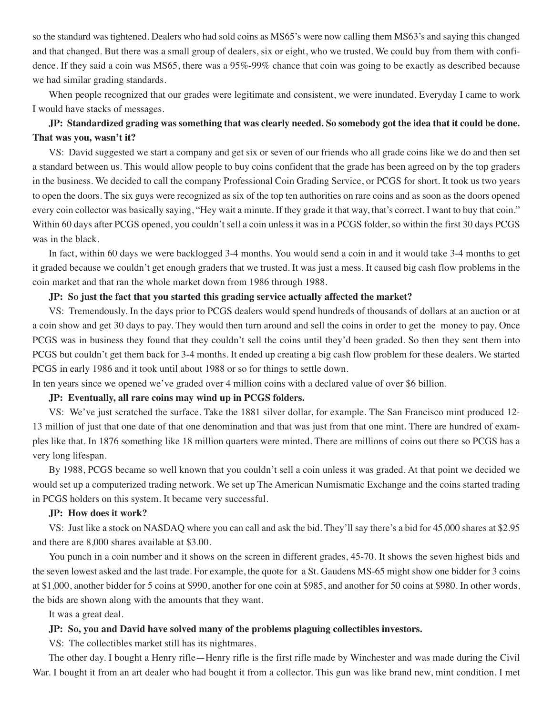so the standard was tightened. Dealers who had sold coins as MS65's were now calling them MS63's and saying this changed and that changed. But there was a small group of dealers, six or eight, who we trusted. We could buy from them with confidence. If they said a coin was MS65, there was a 95%-99% chance that coin was going to be exactly as described because we had similar grading standards.

When people recognized that our grades were legitimate and consistent, we were inundated. Everyday I came to work I would have stacks of messages.

## JP: Standardized grading was something that was clearly needed. So somebody got the idea that it could be done. **That was you, wasn't it?**

VS: David suggested we start a company and get six or seven of our friends who all grade coins like we do and then set a standard between us. This would allow people to buy coins confident that the grade has been agreed on by the top graders in the business. We decided to call the company Professional Coin Grading Service, or PCGS for short. It took us two years to open the doors. The six guys were recognized as six of the top ten authorities on rare coins and as soon as the doors opened every coin collector was basically saying, "Hey wait a minute. If they grade it that way, that's correct. I want to buy that coin." Within 60 days after PCGS opened, you couldn't sell a coin unless it was in a PCGS folder, so within the first 30 days PCGS was in the black.

In fact, within 60 days we were backlogged 3-4 months. You would send a coin in and it would take 3-4 months to get it graded because we couldn't get enough graders that we trusted. It was just a mess. It caused big cash flow problems in the coin market and that ran the whole market down from 1986 through 1988.

## **JP: So just the fact that you started this grading service actually affected the market?**

VS: Tremendously. In the days prior to PCGS dealers would spend hundreds of thousands of dollars at an auction or at a coin show and get 30 days to pay. They would then turn around and sell the coins in order to get the money to pay. Once PCGS was in business they found that they couldn't sell the coins until they'd been graded. So then they sent them into PCGS but couldn't get them back for 3-4 months. It ended up creating a big cash flow problem for these dealers. We started PCGS in early 1986 and it took until about 1988 or so for things to settle down.

In ten years since we opened we've graded over 4 million coins with a declared value of over \$6 billion.

## **JP: Eventually, all rare coins may wind up in PCGS folders.**

VS: We've just scratched the surface. Take the 1881 silver dollar, for example. The San Francisco mint produced 12- 13 million of just that one date of that one denomination and that was just from that one mint. There are hundred of examples like that. In 1876 something like 18 million quarters were minted. There are millions of coins out there so PCGS has a very long lifespan.

By 1988, PCGS became so well known that you couldn't sell a coin unless it was graded. At that point we decided we would set up a computerized trading network. We set up The American Numismatic Exchange and the coins started trading in PCGS holders on this system. It became very successful.

#### **JP: How does it work?**

VS: Just like a stock on NASDAQ where you can call and ask the bid. They'll say there's a bid for 45,000 shares at \$2.95 and there are 8,000 shares available at \$3.00.

You punch in a coin number and it shows on the screen in different grades, 45-70. It shows the seven highest bids and the seven lowest asked and the last trade. For example, the quote for a St. Gaudens MS-65 might show one bidder for 3 coins at \$1,000, another bidder for 5 coins at \$990, another for one coin at \$985, and another for 50 coins at \$980. In other words, the bids are shown along with the amounts that they want.

It was a great deal.

#### **JP: So, you and David have solved many of the problems plaguing collectibles investors.**

VS: The collectibles market still has its nightmares.

The other day. I bought a Henry rifle—Henry rifle is the first rifle made by Winchester and was made during the Civil War. I bought it from an art dealer who had bought it from a collector. This gun was like brand new, mint condition. I met